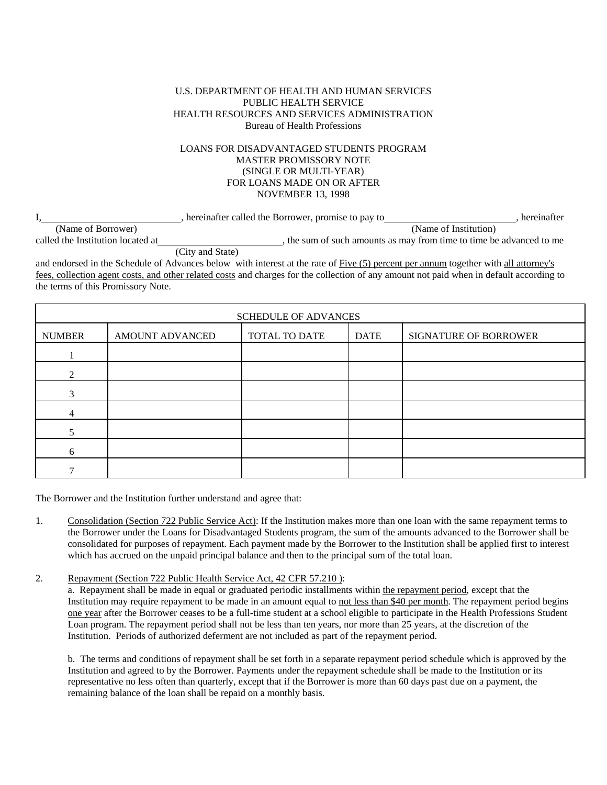## U.S. DEPARTMENT OF HEALTH AND HUMAN SERVICES PUBLIC HEALTH SERVICE HEALTH RESOURCES AND SERVICES ADMINISTRATION Bureau of Health Professions

## LOANS FOR DISADVANTAGED STUDENTS PROGRAM MASTER PROMISSORY NOTE (SINGLE OR MULTI-YEAR) FOR LOANS MADE ON OR AFTER NOVEMBER 13, 1998

|                                   | hereinafter called the Borrower, promise to pay to | hereinafter                                                        |
|-----------------------------------|----------------------------------------------------|--------------------------------------------------------------------|
| (Name of Borrower)                |                                                    | (Name of Institution)                                              |
| called the Institution located at |                                                    | the sum of such amounts as may from time to time be advanced to me |

(City and State)

and endorsed in the Schedule of Advances below with interest at the rate of Five (5) percent per annum together with all attorney's fees, collection agent costs, and other related costs and charges for the collection of any amount not paid when in default according to the terms of this Promissory Note.

| <b>SCHEDULE OF ADVANCES</b> |                 |               |             |                       |  |
|-----------------------------|-----------------|---------------|-------------|-----------------------|--|
| <b>NUMBER</b>               | AMOUNT ADVANCED | TOTAL TO DATE | <b>DATE</b> | SIGNATURE OF BORROWER |  |
|                             |                 |               |             |                       |  |
| $\mathcal{D}$               |                 |               |             |                       |  |
| $\mathcal{R}$               |                 |               |             |                       |  |
|                             |                 |               |             |                       |  |
|                             |                 |               |             |                       |  |
| 6                           |                 |               |             |                       |  |
|                             |                 |               |             |                       |  |

The Borrower and the Institution further understand and agree that:

- 1. Consolidation (Section 722 Public Service Act): If the Institution makes more than one loan with the same repayment terms to the Borrower under the Loans for Disadvantaged Students program, the sum of the amounts advanced to the Borrower shall be consolidated for purposes of repayment. Each payment made by the Borrower to the Institution shall be applied first to interest which has accrued on the unpaid principal balance and then to the principal sum of the total loan.
- 2. Repayment (Section 722 Public Health Service Act, 42 CFR 57.210 ):

a. Repayment shall be made in equal or graduated periodic installments within the repayment period, except that the Institution may require repayment to be made in an amount equal to not less than \$40 per month. The repayment period begins one year after the Borrower ceases to be a full-time student at a school eligible to participate in the Health Professions Student Loan program. The repayment period shall not be less than ten years, nor more than 25 years, at the discretion of the Institution. Periods of authorized deferment are not included as part of the repayment period.

b. The terms and conditions of repayment shall be set forth in a separate repayment period schedule which is approved by the Institution and agreed to by the Borrower. Payments under the repayment schedule shall be made to the Institution or its representative no less often than quarterly, except that if the Borrower is more than 60 days past due on a payment, the remaining balance of the loan shall be repaid on a monthly basis.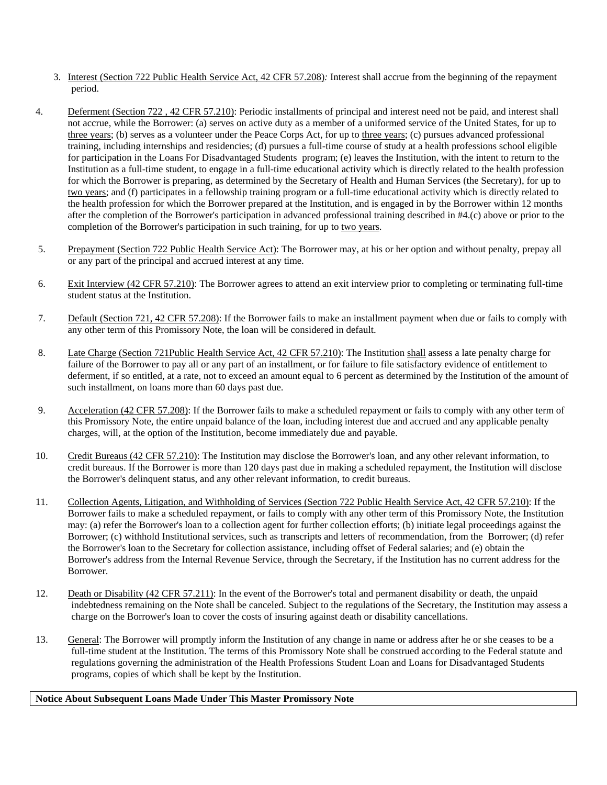- 3. Interest (Section 722 Public Health Service Act, 42 CFR 57.208)*:* Interest shall accrue from the beginning of the repayment period.
- 4. Deferment (Section 722 , 42 CFR 57.210): Periodic installments of principal and interest need not be paid, and interest shall not accrue, while the Borrower: (a) serves on active duty as a member of a uniformed service of the United States, for up to three years; (b) serves as a volunteer under the Peace Corps Act, for up to three years; (c) pursues advanced professional training, including internships and residencies; (d) pursues a full-time course of study at a health professions school eligible for participation in the Loans For Disadvantaged Students program; (e) leaves the Institution, with the intent to return to the Institution as a full-time student, to engage in a full-time educational activity which is directly related to the health profession for which the Borrower is preparing, as determined by the Secretary of Health and Human Services (the Secretary), for up to two years; and (f) participates in a fellowship training program or a full-time educational activity which is directly related to the health profession for which the Borrower prepared at the Institution, and is engaged in by the Borrower within 12 months after the completion of the Borrower's participation in advanced professional training described in #4.(c) above or prior to the completion of the Borrower's participation in such training, for up to two years.
- 5. Prepayment (Section 722 Public Health Service Act): The Borrower may, at his or her option and without penalty, prepay all or any part of the principal and accrued interest at any time.
- 6. Exit Interview (42 CFR 57.210): The Borrower agrees to attend an exit interview prior to completing or terminating full-time student status at the Institution.
- 7. Default (Section 721, 42 CFR 57.208): If the Borrower fails to make an installment payment when due or fails to comply with any other term of this Promissory Note, the loan will be considered in default.
- 8. Late Charge (Section 721Public Health Service Act, 42 CFR 57.210): The Institution shall assess a late penalty charge for failure of the Borrower to pay all or any part of an installment, or for failure to file satisfactory evidence of entitlement to deferment, if so entitled, at a rate, not to exceed an amount equal to 6 percent as determined by the Institution of the amount of such installment, on loans more than 60 days past due.
- 9. Acceleration (42 CFR 57.208): If the Borrower fails to make a scheduled repayment or fails to comply with any other term of this Promissory Note, the entire unpaid balance of the loan, including interest due and accrued and any applicable penalty charges, will, at the option of the Institution, become immediately due and payable.
- 10. Credit Bureaus (42 CFR 57.210): The Institution may disclose the Borrower's loan, and any other relevant information, to credit bureaus. If the Borrower is more than 120 days past due in making a scheduled repayment, the Institution will disclose the Borrower's delinquent status, and any other relevant information, to credit bureaus.
- 11. Collection Agents, Litigation, and Withholding of Services (Section 722 Public Health Service Act, 42 CFR 57.210): If the Borrower fails to make a scheduled repayment, or fails to comply with any other term of this Promissory Note, the Institution may: (a) refer the Borrower's loan to a collection agent for further collection efforts; (b) initiate legal proceedings against the Borrower; (c) withhold Institutional services, such as transcripts and letters of recommendation, from the Borrower; (d) refer the Borrower's loan to the Secretary for collection assistance, including offset of Federal salaries; and (e) obtain the Borrower's address from the Internal Revenue Service, through the Secretary, if the Institution has no current address for the Borrower.
- 12. Death or Disability (42 CFR 57.211): In the event of the Borrower's total and permanent disability or death, the unpaid indebtedness remaining on the Note shall be canceled. Subject to the regulations of the Secretary, the Institution may assess a charge on the Borrower's loan to cover the costs of insuring against death or disability cancellations.
- 13. General: The Borrower will promptly inform the Institution of any change in name or address after he or she ceases to be a full-time student at the Institution. The terms of this Promissory Note shall be construed according to the Federal statute and regulations governing the administration of the Health Professions Student Loan and Loans for Disadvantaged Students programs, copies of which shall be kept by the Institution.

## **Notice About Subsequent Loans Made Under This Master Promissory Note**